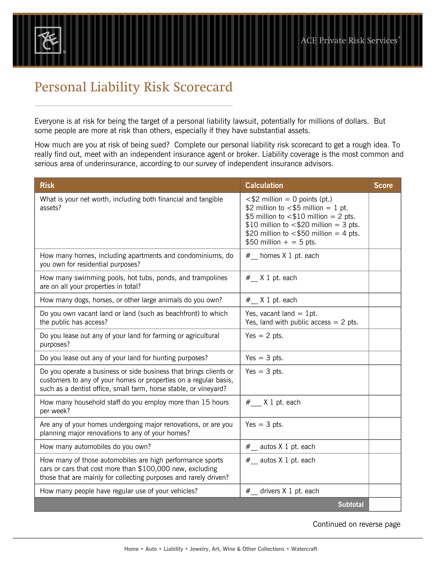## Personal Liability Risk Scorecard

®

Everyone is at risk for being the target of a personal liability lawsuit, potentially for millions of dollars. But some people are more at risk than others, especially if they have substantial assets.

How much are you at risk of being sued? Complete our personal liability risk scorecard to get a rough idea. To really find out, meet with an independent insurance agent or broker. Liability coverage is the most common and serious area of underinsurance, according to our survey of independent insurance advisors.

| <b>Risk</b>                                                                                                                                                                                               | <b>Calculation</b>                                                                                                                                                                                                                            | <b>Score</b> |
|-----------------------------------------------------------------------------------------------------------------------------------------------------------------------------------------------------------|-----------------------------------------------------------------------------------------------------------------------------------------------------------------------------------------------------------------------------------------------|--------------|
| What is your net worth, including both financial and tangible<br>assets?                                                                                                                                  | $<$ \$2 million = 0 points (pt.)<br>\$2 million to $<$ \$5 million = 1 pt.<br>\$5 million to $<$ \$10 million = 2 pts.<br>\$10 million to $<$ \$20 million = 3 pts.<br>\$20 million to $<$ \$50 million = 4 pts.<br>\$50 million $+ = 5$ pts. |              |
| How many homes, including apartments and condominiums, do<br>you own for residential purposes?                                                                                                            | # homes X 1 pt. each                                                                                                                                                                                                                          |              |
| How many swimming pools, hot tubs, ponds, and trampolines<br>are on all your properties in total?                                                                                                         | $#$ X 1 pt. each                                                                                                                                                                                                                              |              |
| How many dogs, horses, or other large animals do you own?                                                                                                                                                 | $#$ X 1 pt. each                                                                                                                                                                                                                              |              |
| Do you own vacant land or land (such as beachfront) to which<br>the public has access?                                                                                                                    | Yes, vacant land $= 1$ pt.<br>Yes, land with public access $= 2$ pts.                                                                                                                                                                         |              |
| Do you lease out any of your land for farming or agricultural<br>purposes?                                                                                                                                | $Yes = 2 pts.$                                                                                                                                                                                                                                |              |
| Do you lease out any of your land for hunting purposes?                                                                                                                                                   | $Yes = 3 pts.$                                                                                                                                                                                                                                |              |
| Do you operate a business or side business that brings clients or<br>customers to any of your homes or properties on a regular basis,<br>such as a dentist office, small farm, horse stable, or vineyard? | $Yes = 3 pts.$                                                                                                                                                                                                                                |              |
| How many household staff do you employ more than 15 hours<br>per week?                                                                                                                                    | # X 1 pt. each                                                                                                                                                                                                                                |              |
| Are any of your homes undergoing major renovations, or are you<br>planning major renovations to any of your homes?                                                                                        | $Yes = 3 pts.$                                                                                                                                                                                                                                |              |
| How many automobiles do you own?                                                                                                                                                                          | $#$ autos X 1 pt. each                                                                                                                                                                                                                        |              |
| How many of those automobiles are high performance sports<br>cars or cars that cost more than \$100,000 new, excluding<br>those that are mainly for collecting purposes and rarely driven?                | # autos X 1 pt. each                                                                                                                                                                                                                          |              |
| How many people have regular use of your vehicles?                                                                                                                                                        | #__ drivers X 1 pt. each                                                                                                                                                                                                                      |              |
|                                                                                                                                                                                                           | <b>Subtotal</b>                                                                                                                                                                                                                               |              |

Continued on reverse page